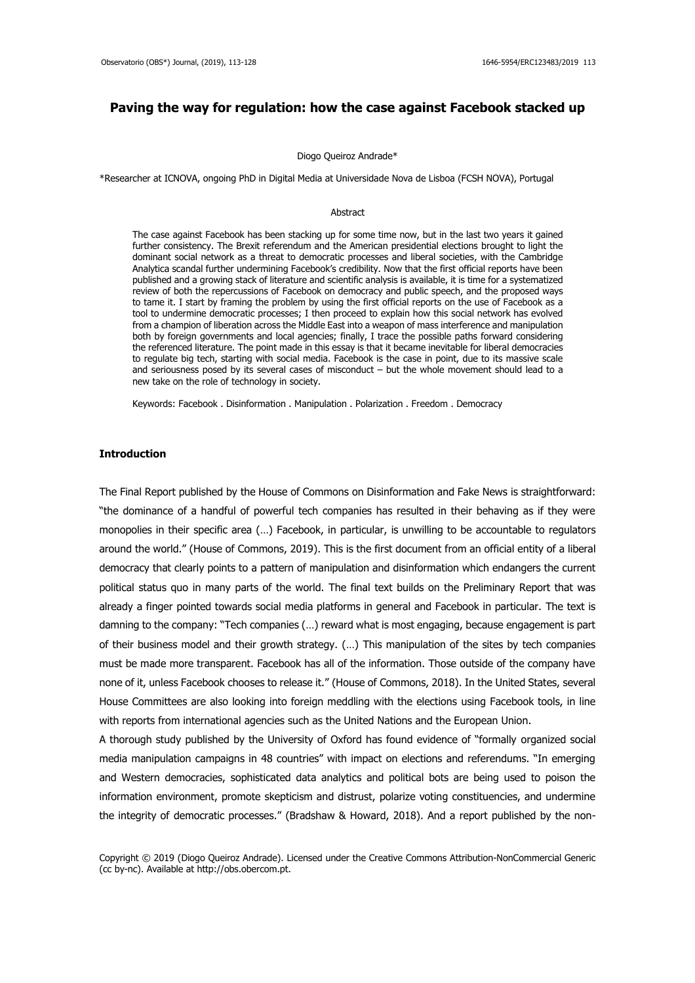# **Paving the way for regulation: how the case against Facebook stacked up**

#### Diogo Queiroz Andrade\*

\*Researcher at ICNOVA, ongoing PhD in Digital Media at Universidade Nova de Lisboa (FCSH NOVA), Portugal

#### Abstract

The case against Facebook has been stacking up for some time now, but in the last two years it gained further consistency. The Brexit referendum and the American presidential elections brought to light the dominant social network as a threat to democratic processes and liberal societies, with the Cambridge Analytica scandal further undermining Facebook's credibility. Now that the first official reports have been published and a growing stack of literature and scientific analysis is available, it is time for a systematized review of both the repercussions of Facebook on democracy and public speech, and the proposed ways to tame it. I start by framing the problem by using the first official reports on the use of Facebook as a tool to undermine democratic processes; I then proceed to explain how this social network has evolved from a champion of liberation across the Middle East into a weapon of mass interference and manipulation both by foreign governments and local agencies; finally, I trace the possible paths forward considering the referenced literature. The point made in this essay is that it became inevitable for liberal democracies to regulate big tech, starting with social media. Facebook is the case in point, due to its massive scale and seriousness posed by its several cases of misconduct – but the whole movement should lead to a new take on the role of technology in society.

Keywords: Facebook . Disinformation . Manipulation . Polarization . Freedom . Democracy

### **Introduction**

The Final Report published by the House of Commons on Disinformation and Fake News is straightforward: "the dominance of a handful of powerful tech companies has resulted in their behaving as if they were monopolies in their specific area (…) Facebook, in particular, is unwilling to be accountable to regulators around the world." (House of Commons, 2019). This is the first document from an official entity of a liberal democracy that clearly points to a pattern of manipulation and disinformation which endangers the current political status quo in many parts of the world. The final text builds on the Preliminary Report that was already a finger pointed towards social media platforms in general and Facebook in particular. The text is damning to the company: "Tech companies (…) reward what is most engaging, because engagement is part of their business model and their growth strategy. (…) This manipulation of the sites by tech companies must be made more transparent. Facebook has all of the information. Those outside of the company have none of it, unless Facebook chooses to release it." (House of Commons, 2018). In the United States, several House Committees are also looking into foreign meddling with the elections using Facebook tools, in line with reports from international agencies such as the United Nations and the European Union.

A thorough study published by the University of Oxford has found evidence of "formally organized social media manipulation campaigns in 48 countries" with impact on elections and referendums. "In emerging and Western democracies, sophisticated data analytics and political bots are being used to poison the information environment, promote skepticism and distrust, polarize voting constituencies, and undermine the integrity of democratic processes." (Bradshaw & Howard, 2018). And a report published by the non-

Copyright © 2019 (Diogo Queiroz Andrade). Licensed under the Creative Commons Attribution-NonCommercial Generic (cc by-nc). Available at http://obs.obercom.pt.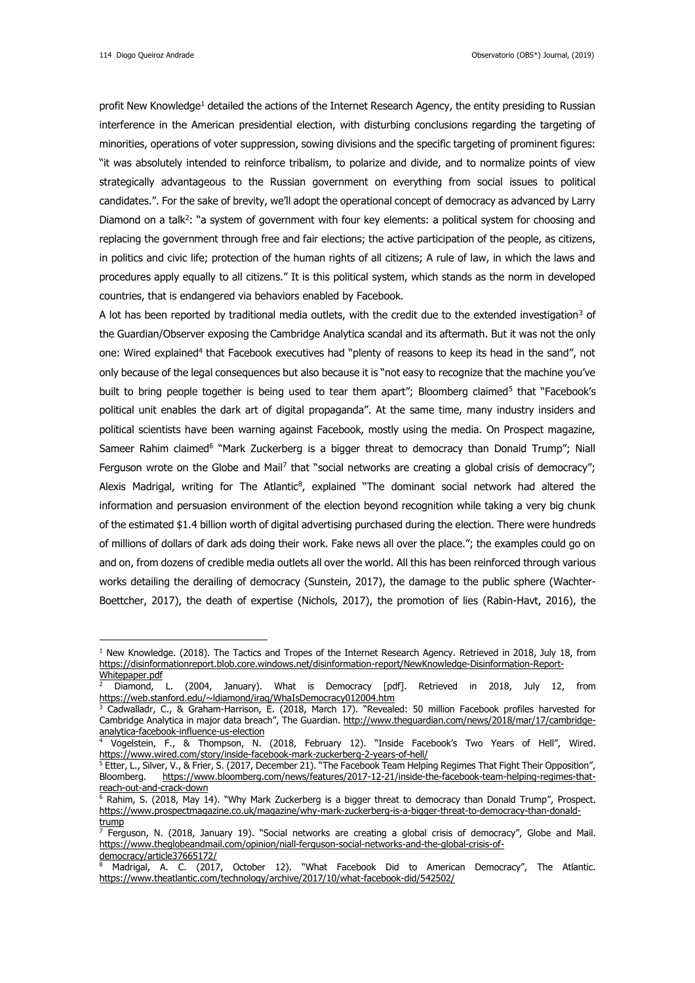<u>.</u>

profit New Knowledge<sup>1</sup> detailed the actions of the Internet Research Agency, the entity presiding to Russian interference in the American presidential election, with disturbing conclusions regarding the targeting of minorities, operations of voter suppression, sowing divisions and the specific targeting of prominent figures: "it was absolutely intended to reinforce tribalism, to polarize and divide, and to normalize points of view strategically advantageous to the Russian government on everything from social issues to political candidates.". For the sake of brevity, we'll adopt the operational concept of democracy as advanced by Larry Diamond on a talk<sup>2</sup>: "a system of government with four key elements: a political system for choosing and replacing the government through free and fair elections; the active participation of the people, as citizens, in politics and civic life; protection of the human rights of all citizens; A rule of law, in which the laws and procedures apply equally to all citizens." It is this political system, which stands as the norm in developed countries, that is endangered via behaviors enabled by Facebook.

A lot has been reported by traditional media outlets, with the credit due to the extended investigation<sup>3</sup> of the Guardian/Observer exposing the Cambridge Analytica scandal and its aftermath. But it was not the only one: Wired explained<sup>4</sup> that Facebook executives had "plenty of reasons to keep its head in the sand", not only because of the legal consequences but also because it is "not easy to recognize that the machine you've built to bring people together is being used to tear them apart"; Bloomberg claimed<sup>5</sup> that "Facebook's political unit enables the dark art of digital propaganda". At the same time, many industry insiders and political scientists have been warning against Facebook, mostly using the media. On Prospect magazine, Sameer Rahim claimed<sup>6</sup> "Mark Zuckerberg is a bigger threat to democracy than Donald Trump"; Niall Ferguson wrote on the Globe and Mail<sup>7</sup> that "social networks are creating a global crisis of democracy"; Alexis Madrigal, writing for The Atlantic<sup>8</sup>, explained "The dominant social network had altered the information and persuasion environment of the election beyond recognition while taking a very big chunk of the estimated \$1.4 billion worth of digital advertising purchased during the election. There were hundreds of millions of dollars of dark ads doing their work. Fake news all over the place."; the examples could go on and on, from dozens of credible media outlets all over the world. All this has been reinforced through various works detailing the derailing of democracy (Sunstein, 2017), the damage to the public sphere (Wachter-Boettcher, 2017), the death of expertise (Nichols, 2017), the promotion of lies (Rabin-Havt, 2016), the

 $1$  New Knowledge. (2018). The Tactics and Tropes of the Internet Research Agency. Retrieved in 2018, July 18, from [https://disinformationreport.blob.core.windows.net/disinformation-report/NewKnowledge-Disinformation-Report-](https://disinformationreport.blob.core.windows.net/disinformation-report/NewKnowledge-Disinformation-Report-Whitepaper.pdf)[Whitepaper.pdf](https://disinformationreport.blob.core.windows.net/disinformation-report/NewKnowledge-Disinformation-Report-Whitepaper.pdf)

<sup>2</sup> Diamond, L. (2004, January). What is Democracy [pdf]. Retrieved in 2018, July 12, from <https://web.stanford.edu/~ldiamond/iraq/WhaIsDemocracy012004.htm>

<sup>&</sup>lt;sup>3</sup> Cadwalladr, C., & Graham-Harrison, E. (2018, March 17). "Revealed: 50 million Facebook profiles harvested for Cambridge Analytica in major data breach", The Guardian. [http://www.theguardian.com/news/2018/mar/17/cambridge](http://www.theguardian.com/news/2018/mar/17/cambridge-analytica-facebook-influence-us-election)[analytica-facebook-influence-us-election](http://www.theguardian.com/news/2018/mar/17/cambridge-analytica-facebook-influence-us-election)

<sup>4</sup> Vogelstein, F., & Thompson, N. (2018, February 12). "Inside Facebook's Two Years of Hell", Wired. <https://www.wired.com/story/inside-facebook-mark-zuckerberg-2-years-of-hell/>

 $^5$  Etter, L., Silver, V., & Frier, S. (2017, December 21). "The Facebook Team Helping Regimes That Fight Their Opposition", Bloomberg. [https://www.bloomberg.com/news/features/2017-12-21/inside-the-facebook-team-helping-regimes-that](https://www.bloomberg.com/news/features/2017-12-21/inside-the-facebook-team-helping-regimes-that-reach-out-and-crack-down)[reach-out-and-crack-down](https://www.bloomberg.com/news/features/2017-12-21/inside-the-facebook-team-helping-regimes-that-reach-out-and-crack-down)

<sup>6</sup> Rahim, S. (2018, May 14). "Why Mark Zuckerberg is a bigger threat to democracy than Donald Trump", Prospect. [https://www.prospectmagazine.co.uk/magazine/why-mark-zuckerberg-is-a-bigger-threat-to-democracy-than-donald](https://www.prospectmagazine.co.uk/magazine/why-mark-zuckerberg-is-a-bigger-threat-to-democracy-than-donald-trump)[trump](https://www.prospectmagazine.co.uk/magazine/why-mark-zuckerberg-is-a-bigger-threat-to-democracy-than-donald-trump)

Ferguson, N. (2018, January 19). "Social networks are creating a global crisis of democracy", Globe and Mail. [https://www.theglobeandmail.com/opinion/niall-ferguson-social-networks-and-the-global-crisis-of](https://www.theglobeandmail.com/opinion/niall-ferguson-social-networks-and-the-global-crisis-of-democracy/article37665172/)[democracy/article37665172/](https://www.theglobeandmail.com/opinion/niall-ferguson-social-networks-and-the-global-crisis-of-democracy/article37665172/)

Madrigal, A. C. (2017, October 12). "What Facebook Did to American Democracy", The Atlantic. <https://www.theatlantic.com/technology/archive/2017/10/what-facebook-did/542502/>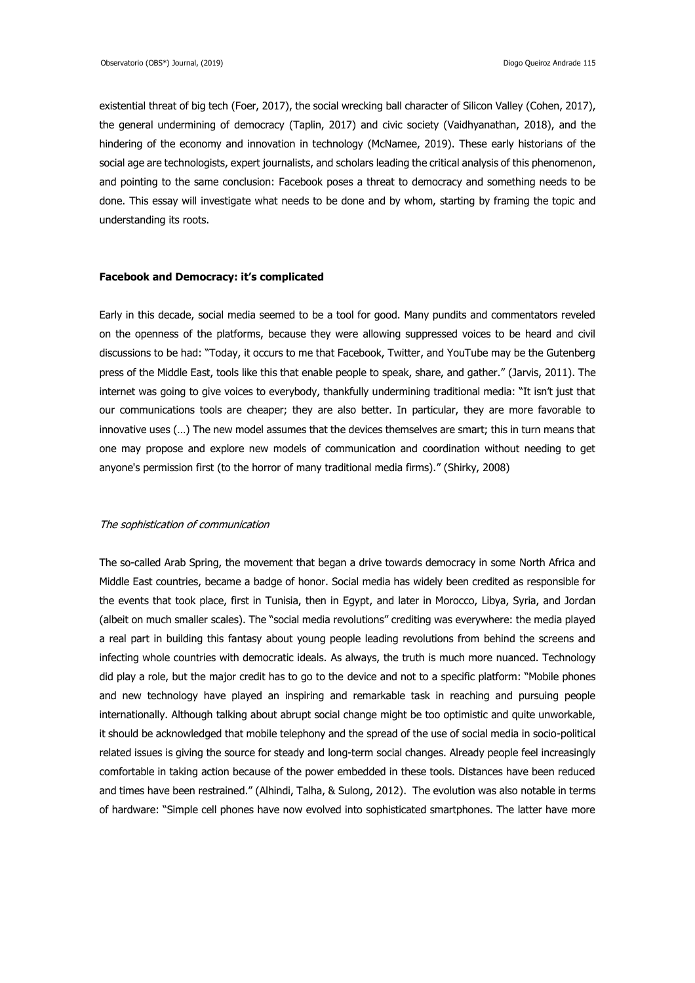existential threat of big tech (Foer, 2017), the social wrecking ball character of Silicon Valley (Cohen, 2017), the general undermining of democracy (Taplin, 2017) and civic society (Vaidhyanathan, 2018), and the hindering of the economy and innovation in technology (McNamee, 2019). These early historians of the social age are technologists, expert journalists, and scholars leading the critical analysis of this phenomenon, and pointing to the same conclusion: Facebook poses a threat to democracy and something needs to be done. This essay will investigate what needs to be done and by whom, starting by framing the topic and understanding its roots.

#### **Facebook and Democracy: it's complicated**

Early in this decade, social media seemed to be a tool for good. Many pundits and commentators reveled on the openness of the platforms, because they were allowing suppressed voices to be heard and civil discussions to be had: "Today, it occurs to me that Facebook, Twitter, and YouTube may be the Gutenberg press of the Middle East, tools like this that enable people to speak, share, and gather." (Jarvis, 2011). The internet was going to give voices to everybody, thankfully undermining traditional media: "It isn't just that our communications tools are cheaper; they are also better. In particular, they are more favorable to innovative uses (…) The new model assumes that the devices themselves are smart; this in turn means that one may propose and explore new models of communication and coordination without needing to get anyone's permission first (to the horror of many traditional media firms)." (Shirky, 2008)

#### The sophistication of communication

The so-called Arab Spring, the movement that began a drive towards democracy in some North Africa and Middle East countries, became a badge of honor. Social media has widely been credited as responsible for the events that took place, first in Tunisia, then in Egypt, and later in Morocco, Libya, Syria, and Jordan (albeit on much smaller scales). The "social media revolutions" crediting was everywhere: the media played a real part in building this fantasy about young people leading revolutions from behind the screens and infecting whole countries with democratic ideals. As always, the truth is much more nuanced. Technology did play a role, but the major credit has to go to the device and not to a specific platform: "Mobile phones and new technology have played an inspiring and remarkable task in reaching and pursuing people internationally. Although talking about abrupt social change might be too optimistic and quite unworkable, it should be acknowledged that mobile telephony and the spread of the use of social media in socio-political related issues is giving the source for steady and long-term social changes. Already people feel increasingly comfortable in taking action because of the power embedded in these tools. Distances have been reduced and times have been restrained." (Alhindi, Talha, & Sulong, 2012). The evolution was also notable in terms of hardware: "Simple cell phones have now evolved into sophisticated smartphones. The latter have more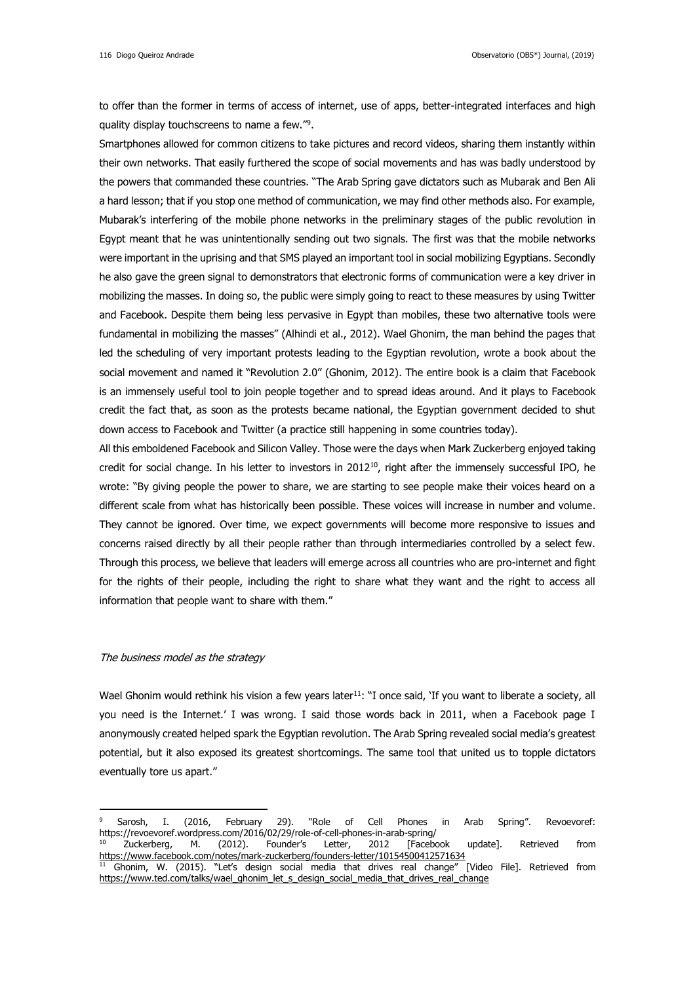to offer than the former in terms of access of internet, use of apps, better-integrated interfaces and high quality display touchscreens to name a few."<sup>9</sup>.

Smartphones allowed for common citizens to take pictures and record videos, sharing them instantly within their own networks. That easily furthered the scope of social movements and has was badly understood by the powers that commanded these countries. "The Arab Spring gave dictators such as Mubarak and Ben Ali a hard lesson; that if you stop one method of communication, we may find other methods also. For example, Mubarak's interfering of the mobile phone networks in the preliminary stages of the public revolution in Egypt meant that he was unintentionally sending out two signals. The first was that the mobile networks were important in the uprising and that SMS played an important tool in social mobilizing Egyptians. Secondly he also gave the green signal to demonstrators that electronic forms of communication were a key driver in mobilizing the masses. In doing so, the public were simply going to react to these measures by using Twitter and Facebook. Despite them being less pervasive in Egypt than mobiles, these two alternative tools were fundamental in mobilizing the masses" (Alhindi et al., 2012). Wael Ghonim, the man behind the pages that led the scheduling of very important protests leading to the Egyptian revolution, wrote a book about the social movement and named it "Revolution 2.0" (Ghonim, 2012). The entire book is a claim that Facebook is an immensely useful tool to join people together and to spread ideas around. And it plays to Facebook credit the fact that, as soon as the protests became national, the Egyptian government decided to shut down access to Facebook and Twitter (a practice still happening in some countries today).

All this emboldened Facebook and Silicon Valley. Those were the days when Mark Zuckerberg enjoyed taking credit for social change. In his letter to investors in  $2012^{10}$ , right after the immensely successful IPO, he wrote: "By giving people the power to share, we are starting to see people make their voices heard on a different scale from what has historically been possible. These voices will increase in number and volume. They cannot be ignored. Over time, we expect governments will become more responsive to issues and concerns raised directly by all their people rather than through intermediaries controlled by a select few. Through this process, we believe that leaders will emerge across all countries who are pro-internet and fight for the rights of their people, including the right to share what they want and the right to access all information that people want to share with them."

### The business model as the strategy

<u>.</u>

Wael Ghonim would rethink his vision a few years later<sup>11</sup>: "I once said, 'If you want to liberate a society, all you need is the Internet.' I was wrong. I said those words back in 2011, when a Facebook page I anonymously created helped spark the Egyptian revolution. The Arab Spring revealed social media's greatest potential, but it also exposed its greatest shortcomings. The same tool that united us to topple dictators eventually tore us apart."

<sup>9</sup> Sarosh, I. (2016, February 29). "Role of Cell Phones in Arab Spring". Revoevoref: https://revoevoref.wordpress.com/2016/02/29/role-of-cell-phones-in-arab-spring/

<sup>&</sup>lt;sup>10</sup> Zuckerberg, M. (2012). Founder's Letter, 2012 [Facebook update]. Retrieved from <https://www.facebook.com/notes/mark-zuckerberg/founders-letter/10154500412571634><br><sup>11</sup> Ghonim, W. (2015). "Let's design social media that drives real change" [Video File]. Retrieved from  $11$  Ghonim, W. (2015). "Let's design social media that drives real change"

[https://www.ted.com/talks/wael\\_ghonim\\_let\\_s\\_design\\_social\\_media\\_that\\_drives\\_real\\_change](https://www.ted.com/talks/wael_ghonim_let_s_design_social_media_that_drives_real_change)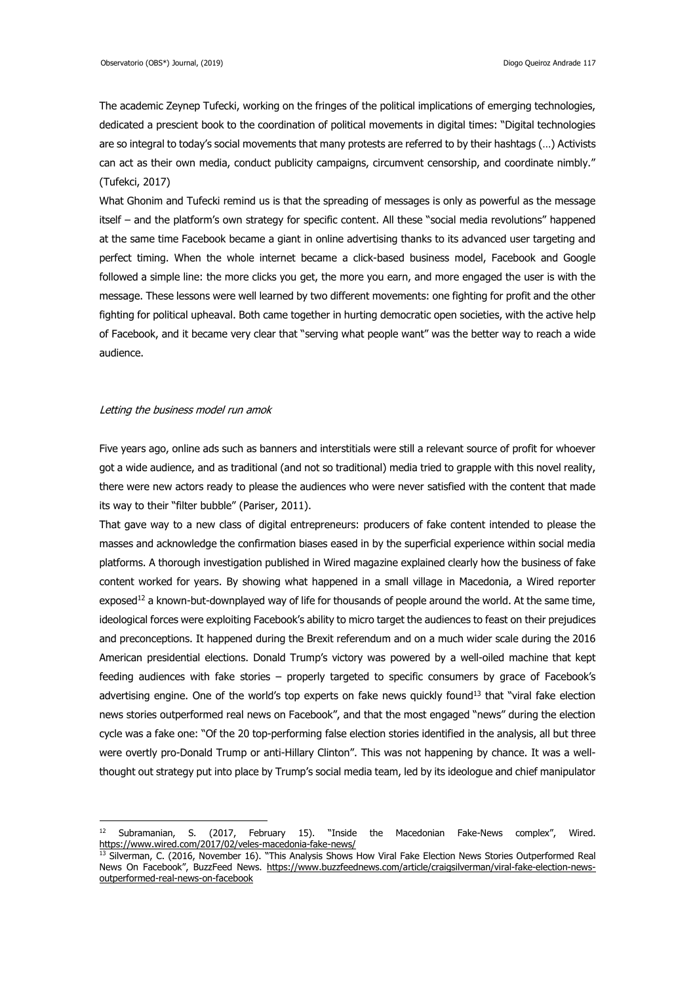The academic Zeynep Tufecki, working on the fringes of the political implications of emerging technologies, dedicated a prescient book to the coordination of political movements in digital times: "Digital technologies are so integral to today's social movements that many protests are referred to by their hashtags (…) Activists can act as their own media, conduct publicity campaigns, circumvent censorship, and coordinate nimbly." (Tufekci, 2017)

What Ghonim and Tufecki remind us is that the spreading of messages is only as powerful as the message itself – and the platform's own strategy for specific content. All these "social media revolutions" happened at the same time Facebook became a giant in online advertising thanks to its advanced user targeting and perfect timing. When the whole internet became a click-based business model, Facebook and Google followed a simple line: the more clicks you get, the more you earn, and more engaged the user is with the message. These lessons were well learned by two different movements: one fighting for profit and the other fighting for political upheaval. Both came together in hurting democratic open societies, with the active help of Facebook, and it became very clear that "serving what people want" was the better way to reach a wide audience.

### Letting the business model run amok

<u>.</u>

Five years ago, online ads such as banners and interstitials were still a relevant source of profit for whoever got a wide audience, and as traditional (and not so traditional) media tried to grapple with this novel reality, there were new actors ready to please the audiences who were never satisfied with the content that made its way to their "filter bubble" (Pariser, 2011).

That gave way to a new class of digital entrepreneurs: producers of fake content intended to please the masses and acknowledge the confirmation biases eased in by the superficial experience within social media platforms. A thorough investigation published in Wired magazine explained clearly how the business of fake content worked for years. By showing what happened in a small village in Macedonia, a Wired reporter exposed<sup>12</sup> a known-but-downplayed way of life for thousands of people around the world. At the same time, ideological forces were exploiting Facebook's ability to micro target the audiences to feast on their prejudices and preconceptions. It happened during the Brexit referendum and on a much wider scale during the 2016 American presidential elections. Donald Trump's victory was powered by a well-oiled machine that kept feeding audiences with fake stories – properly targeted to specific consumers by grace of Facebook's advertising engine. One of the world's top experts on fake news quickly found<sup>13</sup> that "viral fake election news stories outperformed real news on Facebook", and that the most engaged "news" during the election cycle was a fake one: "Of the 20 top-performing false election stories identified in the analysis, all but three were overtly pro-Donald Trump or anti-Hillary Clinton". This was not happening by chance. It was a wellthought out strategy put into place by Trump's social media team, led by its ideologue and chief manipulator

<sup>&</sup>lt;sup>12</sup> Subramanian, S. (2017, February 15). "Inside the Macedonian Fake-News complex", Wired. <https://www.wired.com/2017/02/veles-macedonia-fake-news/>

<sup>&</sup>lt;sup>13</sup> Silverman, C. (2016, November 16). "This Analysis Shows How Viral Fake Election News Stories Outperformed Real News On Facebook", BuzzFeed News. [https://www.buzzfeednews.com/article/craigsilverman/viral-fake-election-news](https://www.buzzfeednews.com/article/craigsilverman/viral-fake-election-news-outperformed-real-news-on-facebook)[outperformed-real-news-on-facebook](https://www.buzzfeednews.com/article/craigsilverman/viral-fake-election-news-outperformed-real-news-on-facebook)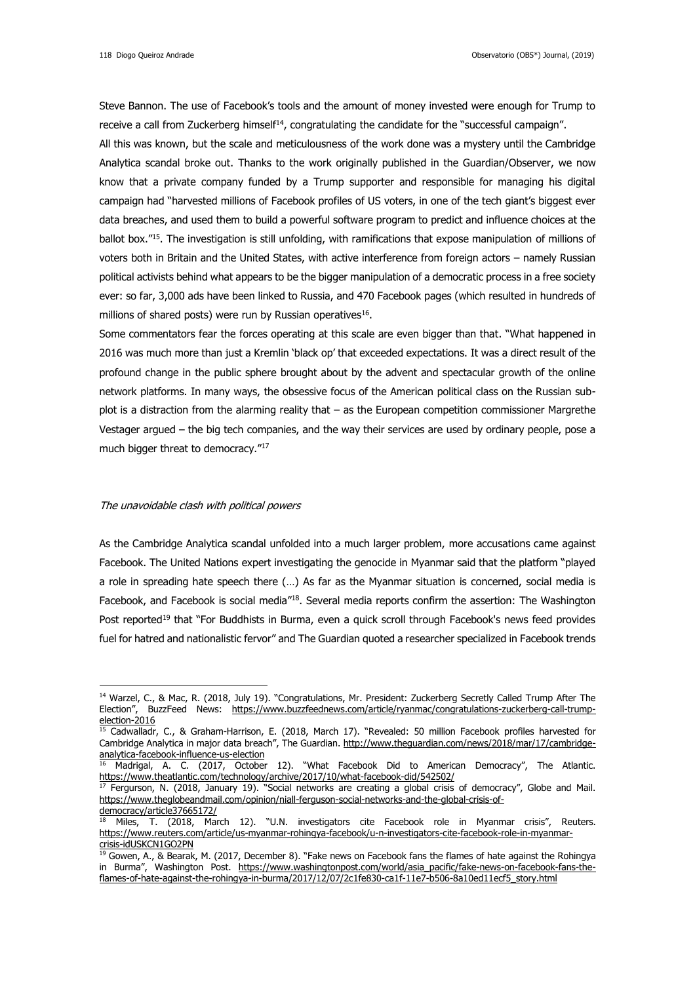Steve Bannon. The use of Facebook's tools and the amount of money invested were enough for Trump to receive a call from Zuckerberg himself<sup>14</sup>, congratulating the candidate for the "successful campaign". All this was known, but the scale and meticulousness of the work done was a mystery until the Cambridge Analytica scandal broke out. Thanks to the work originally published in the Guardian/Observer, we now know that a private company funded by a Trump supporter and responsible for managing his digital

campaign had "harvested millions of Facebook profiles of US voters, in one of the tech giant's biggest ever data breaches, and used them to build a powerful software program to predict and influence choices at the ballot box."<sup>15</sup>. The investigation is still unfolding, with ramifications that expose manipulation of millions of voters both in Britain and the United States, with active interference from foreign actors – namely Russian political activists behind what appears to be the bigger manipulation of a democratic process in a free society ever: so far, 3,000 ads have been linked to Russia, and 470 Facebook pages (which resulted in hundreds of millions of shared posts) were run by Russian operatives $^{16}$ .

Some commentators fear the forces operating at this scale are even bigger than that. "What happened in 2016 was much more than just a Kremlin 'black op' that exceeded expectations. It was a direct result of the profound change in the public sphere brought about by the advent and spectacular growth of the online network platforms. In many ways, the obsessive focus of the American political class on the Russian subplot is a distraction from the alarming reality that – as the European competition commissioner Margrethe Vestager argued – the big tech companies, and the way their services are used by ordinary people, pose a much bigger threat to democracy."<sup>17</sup>

### The unavoidable clash with political powers

<u>.</u>

As the Cambridge Analytica scandal unfolded into a much larger problem, more accusations came against Facebook. The United Nations expert investigating the genocide in Myanmar said that the platform "played a role in spreading hate speech there (…) As far as the Myanmar situation is concerned, social media is Facebook, and Facebook is social media"<sup>18</sup>. Several media reports confirm the assertion: The Washington Post reported<sup>19</sup> that "For Buddhists in Burma, even a quick scroll through Facebook's news feed provides fuel for hatred and nationalistic fervor" and The Guardian quoted a researcher specialized in Facebook trends

<sup>&</sup>lt;sup>14</sup> Warzel, C., & Mac, R. (2018, July 19). "Congratulations, Mr. President: Zuckerberg Secretly Called Trump After The Election", BuzzFeed News: [https://www.buzzfeednews.com/article/ryanmac/congratulations-zuckerberg-call-trump](https://www.buzzfeednews.com/article/ryanmac/congratulations-zuckerberg-call-trump-election-2016)[election-2016](https://www.buzzfeednews.com/article/ryanmac/congratulations-zuckerberg-call-trump-election-2016)

<sup>&</sup>lt;sup>15</sup> Cadwalladr, C., & Graham-Harrison, E. (2018, March 17). "Revealed: 50 million Facebook profiles harvested for Cambridge Analytica in major data breach", The Guardian. [http://www.theguardian.com/news/2018/mar/17/cambridge](http://www.theguardian.com/news/2018/mar/17/cambridge-analytica-facebook-influence-us-election)[analytica-facebook-influence-us-election](http://www.theguardian.com/news/2018/mar/17/cambridge-analytica-facebook-influence-us-election)

 $16$  Madrigal, A. C. (2017, October 12). "What Facebook Did to American Democracy", The Atlantic. <https://www.theatlantic.com/technology/archive/2017/10/what-facebook-did/542502/>

 $17$  Fergurson, N. (2018, January 19). "Social networks are creating a global crisis of democracy", Globe and Mail. [https://www.theglobeandmail.com/opinion/niall-ferguson-social-networks-and-the-global-crisis-of](https://www.theglobeandmail.com/opinion/niall-ferguson-social-networks-and-the-global-crisis-of-democracy/article37665172/)[democracy/article37665172/](https://www.theglobeandmail.com/opinion/niall-ferguson-social-networks-and-the-global-crisis-of-democracy/article37665172/)

<sup>18</sup> Miles, T. (2018, March 12). "U.N. investigators cite Facebook role in Myanmar crisis", Reuters. [https://www.reuters.com/article/us-myanmar-rohingya-facebook/u-n-investigators-cite-facebook-role-in-myanmar](https://www.reuters.com/article/us-myanmar-rohingya-facebook/u-n-investigators-cite-facebook-role-in-myanmar-crisis-idUSKCN1GO2PN)[crisis-idUSKCN1GO2PN](https://www.reuters.com/article/us-myanmar-rohingya-facebook/u-n-investigators-cite-facebook-role-in-myanmar-crisis-idUSKCN1GO2PN)

<sup>&</sup>lt;sup>19</sup> Gowen, A., & Bearak, M. (2017, December 8). "Fake news on Facebook fans the flames of hate against the Rohingya in Burma", Washington Post. [https://www.washingtonpost.com/world/asia\\_pacific/fake-news-on-facebook-fans-the](https://www.washingtonpost.com/world/asia_pacific/fake-news-on-facebook-fans-the-flames-of-hate-against-the-rohingya-in-burma/2017/12/07/2c1fe830-ca1f-11e7-b506-8a10ed11ecf5_story.html)[flames-of-hate-against-the-rohingya-in-burma/2017/12/07/2c1fe830-ca1f-11e7-b506-8a10ed11ecf5\\_story.html](https://www.washingtonpost.com/world/asia_pacific/fake-news-on-facebook-fans-the-flames-of-hate-against-the-rohingya-in-burma/2017/12/07/2c1fe830-ca1f-11e7-b506-8a10ed11ecf5_story.html)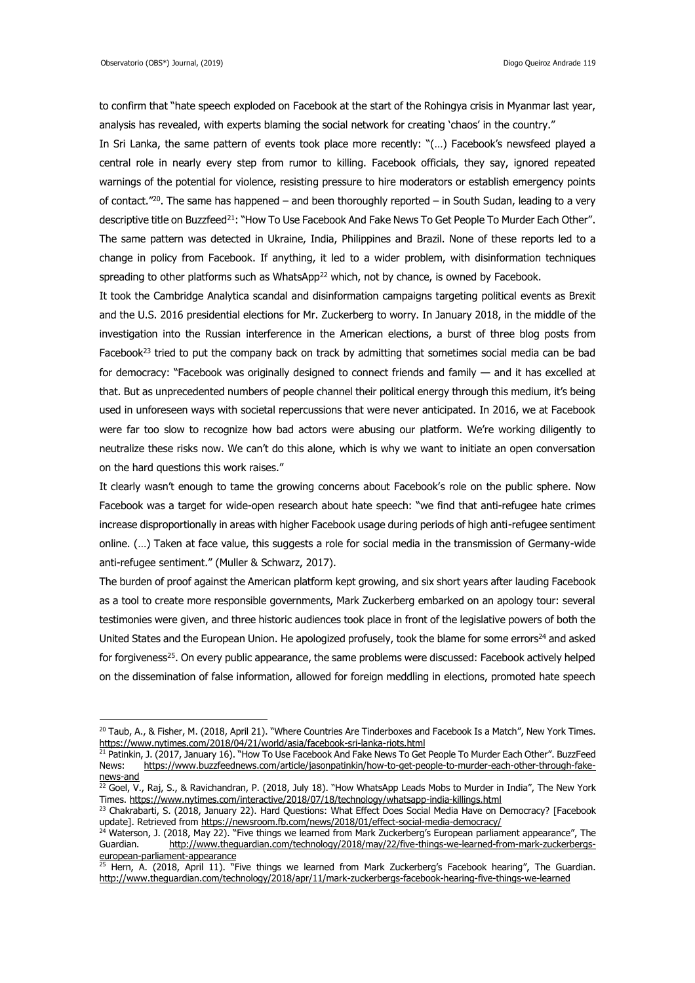<u>.</u>

to confirm that "hate speech exploded on Facebook at the start of the Rohingya crisis in Myanmar last year, analysis has revealed, with experts blaming the social network for creating 'chaos' in the country."

In Sri Lanka, the same pattern of events took place more recently: "(…) Facebook's newsfeed played a central role in nearly every step from rumor to killing. Facebook officials, they say, ignored repeated warnings of the potential for violence, resisting pressure to hire moderators or establish emergency points of contact."<sup>20</sup>. The same has happened – and been thoroughly reported – in South Sudan, leading to a very descriptive title on Buzzfeed<sup>21</sup>: "How To Use Facebook And Fake News To Get People To Murder Each Other". The same pattern was detected in Ukraine, India, Philippines and Brazil. None of these reports led to a change in policy from Facebook. If anything, it led to a wider problem, with disinformation techniques spreading to other platforms such as WhatsApp<sup>22</sup> which, not by chance, is owned by Facebook.

It took the Cambridge Analytica scandal and disinformation campaigns targeting political events as Brexit and the U.S. 2016 presidential elections for Mr. Zuckerberg to worry. In January 2018, in the middle of the investigation into the Russian interference in the American elections, a burst of three blog posts from Facebook<sup>23</sup> tried to put the company back on track by admitting that sometimes social media can be bad for democracy: "Facebook was originally designed to connect friends and family — and it has excelled at that. But as unprecedented numbers of people channel their political energy through this medium, it's being used in unforeseen ways with societal repercussions that were never anticipated. In 2016, we at Facebook were far too slow to recognize how bad actors were abusing our platform. We're working diligently to neutralize these risks now. We can't do this alone, which is why we want to initiate an open conversation on the hard questions this work raises."

It clearly wasn't enough to tame the growing concerns about Facebook's role on the public sphere. Now Facebook was a target for wide-open research about hate speech: "we find that anti-refugee hate crimes increase disproportionally in areas with higher Facebook usage during periods of high anti-refugee sentiment online. (…) Taken at face value, this suggests a role for social media in the transmission of Germany-wide anti-refugee sentiment." (Muller & Schwarz, 2017).

The burden of proof against the American platform kept growing, and six short years after lauding Facebook as a tool to create more responsible governments, Mark Zuckerberg embarked on an apology tour: several testimonies were given, and three historic audiences took place in front of the legislative powers of both the United States and the European Union. He apologized profusely, took the blame for some errors<sup>24</sup> and asked for forgiveness<sup>25</sup>. On every public appearance, the same problems were discussed: Facebook actively helped on the dissemination of false information, allowed for foreign meddling in elections, promoted hate speech

<sup>&</sup>lt;sup>20</sup> Taub, A., & Fisher, M. (2018, April 21). "Where Countries Are Tinderboxes and Facebook Is a Match", New York Times. <https://www.nytimes.com/2018/04/21/world/asia/facebook-sri-lanka-riots.html>

<sup>&</sup>lt;sup>21</sup> Patinkin, J. (2017, January 16). "How To Use Facebook And Fake News To Get People To Murder Each Other". BuzzFeed News: [https://www.buzzfeednews.com/article/jasonpatinkin/how-to-get-people-to-murder-each-other-through-fake](https://www.buzzfeednews.com/article/jasonpatinkin/how-to-get-people-to-murder-each-other-through-fake-news-and)[news-and](https://www.buzzfeednews.com/article/jasonpatinkin/how-to-get-people-to-murder-each-other-through-fake-news-and)

 $^{\overline{22}}$  Goel, V., Raj, S., & Ravichandran, P. (2018, July 18). "How WhatsApp Leads Mobs to Murder in India", The New York Times.<https://www.nytimes.com/interactive/2018/07/18/technology/whatsapp-india-killings.html>

<sup>&</sup>lt;sup>23</sup> Chakrabarti, S. (2018, January 22). Hard Questions: What Effect Does Social Media Have on Democracy? [Facebook update]. Retrieved from<https://newsroom.fb.com/news/2018/01/effect-social-media-democracy/>

<sup>&</sup>lt;sup>24</sup> Waterson, J. (2018, May 22). "Five things we learned from Mark Zuckerberg's European parliament appearance", The Guardian. [http://www.theguardian.com/technology/2018/may/22/five-things-we-learned-from-mark-zuckerbergs](http://www.theguardian.com/technology/2018/may/22/five-things-we-learned-from-mark-zuckerbergs-european-parliament-appearance)[european-parliament-appearance](http://www.theguardian.com/technology/2018/may/22/five-things-we-learned-from-mark-zuckerbergs-european-parliament-appearance)

<sup>&</sup>lt;sup>25</sup> Hern, A. (2018, April 11). "Five things we learned from Mark Zuckerberg's Facebook hearing", The Guardian. <http://www.theguardian.com/technology/2018/apr/11/mark-zuckerbergs-facebook-hearing-five-things-we-learned>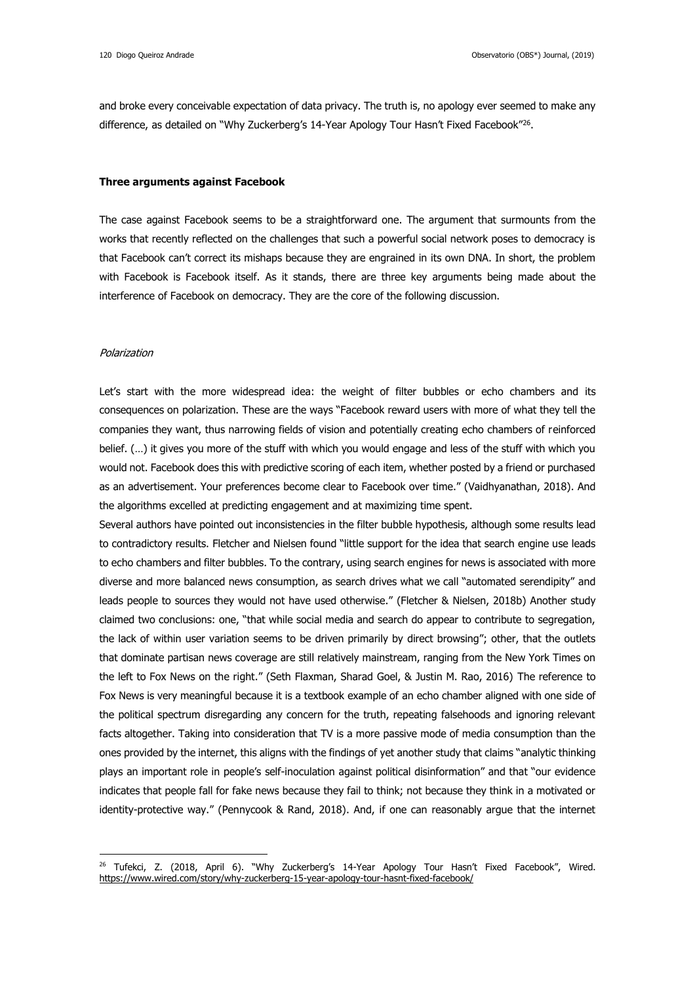and broke every conceivable expectation of data privacy. The truth is, no apology ever seemed to make any difference, as detailed on "Why Zuckerberg's 14-Year Apology Tour Hasn't Fixed Facebook"<sup>26</sup>.

### **Three arguments against Facebook**

The case against Facebook seems to be a straightforward one. The argument that surmounts from the works that recently reflected on the challenges that such a powerful social network poses to democracy is that Facebook can't correct its mishaps because they are engrained in its own DNA. In short, the problem with Facebook is Facebook itself. As it stands, there are three key arguments being made about the interference of Facebook on democracy. They are the core of the following discussion.

### Polarization

<u>.</u>

Let's start with the more widespread idea: the weight of filter bubbles or echo chambers and its consequences on polarization. These are the ways "Facebook reward users with more of what they tell the companies they want, thus narrowing fields of vision and potentially creating echo chambers of reinforced belief. (…) it gives you more of the stuff with which you would engage and less of the stuff with which you would not. Facebook does this with predictive scoring of each item, whether posted by a friend or purchased as an advertisement. Your preferences become clear to Facebook over time." (Vaidhyanathan, 2018). And the algorithms excelled at predicting engagement and at maximizing time spent.

Several authors have pointed out inconsistencies in the filter bubble hypothesis, although some results lead to contradictory results. Fletcher and Nielsen found "little support for the idea that search engine use leads to echo chambers and filter bubbles. To the contrary, using search engines for news is associated with more diverse and more balanced news consumption, as search drives what we call "automated serendipity" and leads people to sources they would not have used otherwise." (Fletcher & Nielsen, 2018b) Another study claimed two conclusions: one, "that while social media and search do appear to contribute to segregation, the lack of within user variation seems to be driven primarily by direct browsing"; other, that the outlets that dominate partisan news coverage are still relatively mainstream, ranging from the New York Times on the left to Fox News on the right." (Seth Flaxman, Sharad Goel, & Justin M. Rao, 2016) The reference to Fox News is very meaningful because it is a textbook example of an echo chamber aligned with one side of the political spectrum disregarding any concern for the truth, repeating falsehoods and ignoring relevant facts altogether. Taking into consideration that TV is a more passive mode of media consumption than the ones provided by the internet, this aligns with the findings of yet another study that claims "analytic thinking plays an important role in people's self-inoculation against political disinformation" and that "our evidence indicates that people fall for fake news because they fail to think; not because they think in a motivated or identity-protective way." (Pennycook & Rand, 2018). And, if one can reasonably argue that the internet

<sup>&</sup>lt;sup>26</sup> Tufekci, Z. (2018, April 6). "Why Zuckerberg's 14-Year Apology Tour Hasn't Fixed Facebook", Wired. <https://www.wired.com/story/why-zuckerberg-15-year-apology-tour-hasnt-fixed-facebook/>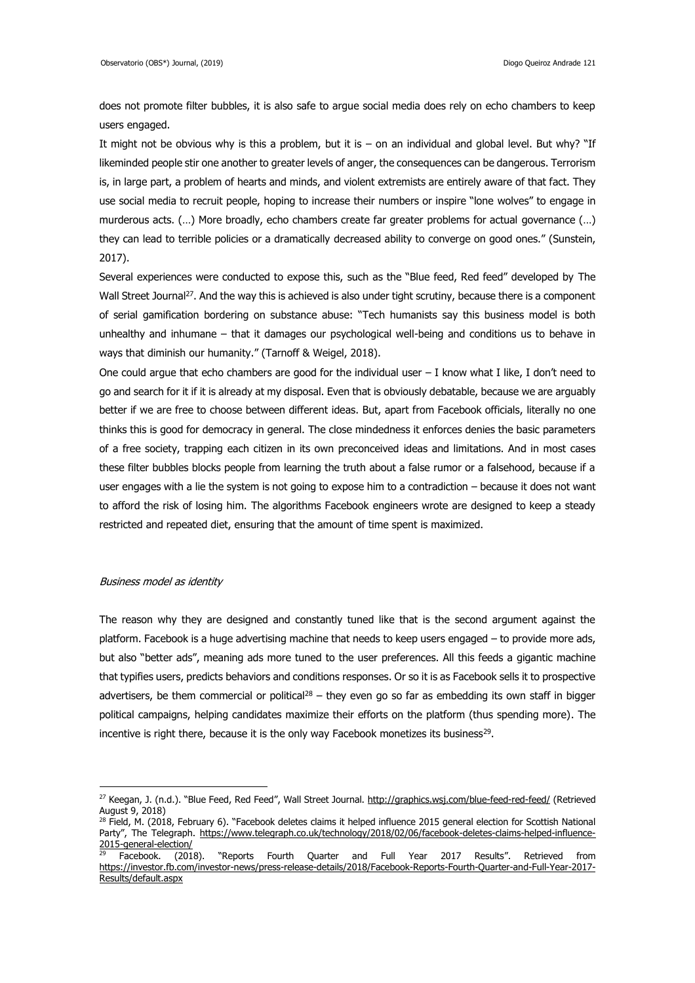does not promote filter bubbles, it is also safe to argue social media does rely on echo chambers to keep users engaged.

It might not be obvious why is this a problem, but it is – on an individual and global level. But why? "If likeminded people stir one another to greater levels of anger, the consequences can be dangerous. Terrorism is, in large part, a problem of hearts and minds, and violent extremists are entirely aware of that fact. They use social media to recruit people, hoping to increase their numbers or inspire "lone wolves" to engage in murderous acts. (…) More broadly, echo chambers create far greater problems for actual governance (…) they can lead to terrible policies or a dramatically decreased ability to converge on good ones." (Sunstein, 2017).

Several experiences were conducted to expose this, such as the "Blue feed, Red feed" developed by The Wall Street Journal<sup>27</sup>. And the way this is achieved is also under tight scrutiny, because there is a component of serial gamification bordering on substance abuse: "Tech humanists say this business model is both unhealthy and inhumane – that it damages our psychological well-being and conditions us to behave in ways that diminish our humanity." (Tarnoff & Weigel, 2018).

One could argue that echo chambers are good for the individual user  $-1$  know what I like, I don't need to go and search for it if it is already at my disposal. Even that is obviously debatable, because we are arguably better if we are free to choose between different ideas. But, apart from Facebook officials, literally no one thinks this is good for democracy in general. The close mindedness it enforces denies the basic parameters of a free society, trapping each citizen in its own preconceived ideas and limitations. And in most cases these filter bubbles blocks people from learning the truth about a false rumor or a falsehood, because if a user engages with a lie the system is not going to expose him to a contradiction – because it does not want to afford the risk of losing him. The algorithms Facebook engineers wrote are designed to keep a steady restricted and repeated diet, ensuring that the amount of time spent is maximized.

### Business model as identity

1

The reason why they are designed and constantly tuned like that is the second argument against the platform. Facebook is a huge advertising machine that needs to keep users engaged – to provide more ads, but also "better ads", meaning ads more tuned to the user preferences. All this feeds a gigantic machine that typifies users, predicts behaviors and conditions responses. Or so it is as Facebook sells it to prospective advertisers, be them commercial or political<sup>28</sup> – they even go so far as embedding its own staff in bigger political campaigns, helping candidates maximize their efforts on the platform (thus spending more). The incentive is right there, because it is the only way Facebook monetizes its business<sup>29</sup>.

<sup>27</sup> Keegan, J. (n.d.). "Blue Feed, Red Feed", Wall Street Journal. <http://graphics.wsj.com/blue-feed-red-feed/> (Retrieved August 9, 2018)

<sup>&</sup>lt;sup>28</sup> Field, M. (2018, February 6). "Facebook deletes claims it helped influence 2015 general election for Scottish National Party", The Telegraph. [https://www.telegraph.co.uk/technology/2018/02/06/facebook-deletes-claims-helped-influence-](https://www.telegraph.co.uk/technology/2018/02/06/facebook-deletes-claims-helped-influence-2015-general-election/)[2015-general-election/](https://www.telegraph.co.uk/technology/2018/02/06/facebook-deletes-claims-helped-influence-2015-general-election/)

<sup>&</sup>lt;sup>29</sup> Facebook. (2018). "Reports Fourth Quarter and Full Year 2017 Results". Retrieved from [https://investor.fb.com/investor-news/press-release-details/2018/Facebook-Reports-Fourth-Quarter-and-Full-Year-2017-](https://investor.fb.com/investor-news/press-release-details/2018/Facebook-Reports-Fourth-Quarter-and-Full-Year-2017-Results/default.aspx) [Results/default.aspx](https://investor.fb.com/investor-news/press-release-details/2018/Facebook-Reports-Fourth-Quarter-and-Full-Year-2017-Results/default.aspx)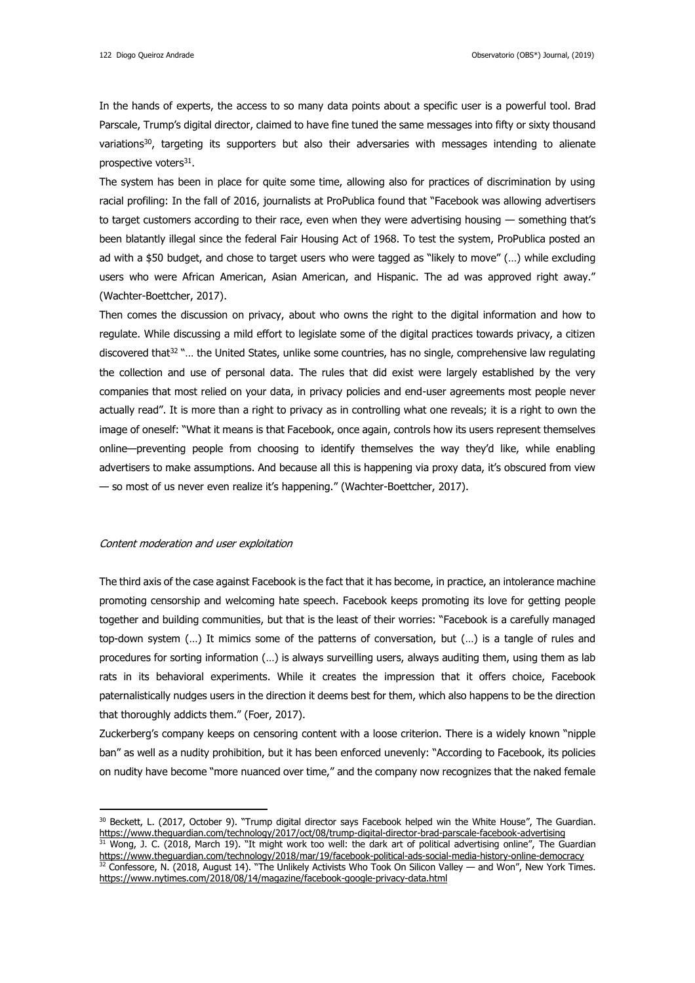In the hands of experts, the access to so many data points about a specific user is a powerful tool. Brad Parscale, Trump's digital director, claimed to have fine tuned the same messages into fifty or sixty thousand variations<sup>30</sup>, targeting its supporters but also their adversaries with messages intending to alienate prospective voters<sup>31</sup>.

The system has been in place for quite some time, allowing also for practices of discrimination by using racial profiling: In the fall of 2016, journalists at ProPublica found that "Facebook was allowing advertisers to target customers according to their race, even when they were advertising housing — something that's been blatantly illegal since the federal Fair Housing Act of 1968. To test the system, ProPublica posted an ad with a \$50 budget, and chose to target users who were tagged as "likely to move" (…) while excluding users who were African American, Asian American, and Hispanic. The ad was approved right away." (Wachter-Boettcher, 2017).

Then comes the discussion on privacy, about who owns the right to the digital information and how to regulate. While discussing a mild effort to legislate some of the digital practices towards privacy, a citizen discovered that<sup>32</sup> "... the United States, unlike some countries, has no single, comprehensive law regulating the collection and use of personal data. The rules that did exist were largely established by the very companies that most relied on your data, in privacy policies and end-user agreements most people never actually read". It is more than a right to privacy as in controlling what one reveals; it is a right to own the image of oneself: "What it means is that Facebook, once again, controls how its users represent themselves online—preventing people from choosing to identify themselves the way they'd like, while enabling advertisers to make assumptions. And because all this is happening via proxy data, it's obscured from view — so most of us never even realize it's happening." (Wachter-Boettcher, 2017).

### Content moderation and user exploitation

<u>.</u>

The third axis of the case against Facebook is the fact that it has become, in practice, an intolerance machine promoting censorship and welcoming hate speech. Facebook keeps promoting its love for getting people together and building communities, but that is the least of their worries: "Facebook is a carefully managed top-down system (…) It mimics some of the patterns of conversation, but (…) is a tangle of rules and procedures for sorting information (…) is always surveilling users, always auditing them, using them as lab rats in its behavioral experiments. While it creates the impression that it offers choice, Facebook paternalistically nudges users in the direction it deems best for them, which also happens to be the direction that thoroughly addicts them." (Foer, 2017).

Zuckerberg's company keeps on censoring content with a loose criterion. There is a widely known "nipple ban" as well as a nudity prohibition, but it has been enforced unevenly: "According to Facebook, its policies on nudity have become "more nuanced over time," and the company now recognizes that the naked female

<sup>&</sup>lt;sup>30</sup> Beckett, L. (2017, October 9). "Trump digital director says Facebook helped win the White House", The Guardian. <https://www.theguardian.com/technology/2017/oct/08/trump-digital-director-brad-parscale-facebook-advertising> <sup>31</sup> Wong, J. C. (2018, March 19). "It might work too well: the dark art of political advertising online", The Guardian <https://www.theguardian.com/technology/2018/mar/19/facebook-political-ads-social-media-history-online-democracy>  $32$  Confessore, N. (2018, August 14). "The Unlikely Activists Who Took On Silicon Valley — and Won", New York Times. <https://www.nytimes.com/2018/08/14/magazine/facebook-google-privacy-data.html>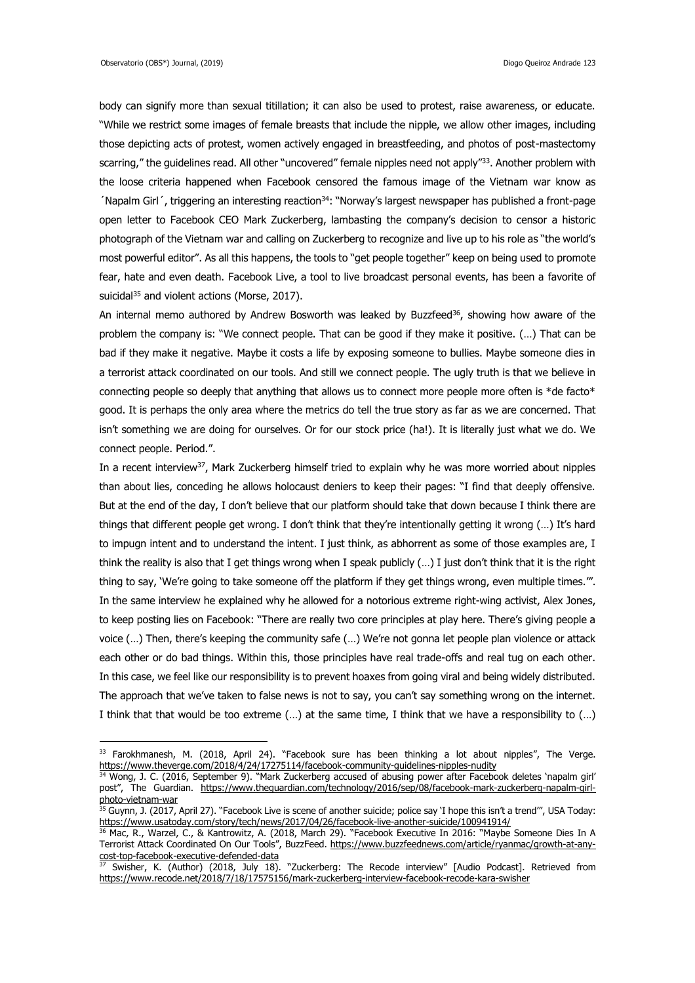-

body can signify more than sexual titillation; it can also be used to protest, raise awareness, or educate. "While we restrict some images of female breasts that include the nipple, we allow other images, including those depicting acts of protest, women actively engaged in breastfeeding, and photos of post-mastectomy scarring," the guidelines read. All other "uncovered" female nipples need not apply"<sup>33</sup>. Another problem with the loose criteria happened when Facebook censored the famous image of the Vietnam war know as  $'$ Napalm Girl $'$ , triggering an interesting reaction $34$ : "Norway's largest newspaper has published a front-page open letter to Facebook CEO Mark Zuckerberg, lambasting the company's decision to censor a historic photograph of the Vietnam war and calling on Zuckerberg to recognize and live up to his role as "the world's most powerful editor". As all this happens, the tools to "get people together" keep on being used to promote fear, hate and even death. Facebook Live, a tool to live broadcast personal events, has been a favorite of suicidal<sup>35</sup> and violent actions (Morse, 2017).

An internal memo authored by Andrew Bosworth was leaked by Buzzfeed $36$ , showing how aware of the problem the company is: "We connect people. That can be good if they make it positive. (…) That can be bad if they make it negative. Maybe it costs a life by exposing someone to bullies. Maybe someone dies in a terrorist attack coordinated on our tools. And still we connect people. The ugly truth is that we believe in connecting people so deeply that anything that allows us to connect more people more often is \*de facto\* good. It is perhaps the only area where the metrics do tell the true story as far as we are concerned. That isn't something we are doing for ourselves. Or for our stock price (ha!). It is literally just what we do. We connect people. Period.".

In a recent interview<sup>37</sup>, Mark Zuckerberg himself tried to explain why he was more worried about nipples than about lies, conceding he allows holocaust deniers to keep their pages: "I find that deeply offensive. But at the end of the day, I don't believe that our platform should take that down because I think there are things that different people get wrong. I don't think that they're intentionally getting it wrong (…) It's hard to impugn intent and to understand the intent. I just think, as abhorrent as some of those examples are, I think the reality is also that I get things wrong when I speak publicly (…) I just don't think that it is the right thing to say, 'We're going to take someone off the platform if they get things wrong, even multiple times.'". In the same interview he explained why he allowed for a notorious extreme right-wing activist, Alex Jones, to keep posting lies on Facebook: "There are really two core principles at play here. There's giving people a voice (…) Then, there's keeping the community safe (…) We're not gonna let people plan violence or attack each other or do bad things. Within this, those principles have real trade-offs and real tug on each other. In this case, we feel like our responsibility is to prevent hoaxes from going viral and being widely distributed. The approach that we've taken to false news is not to say, you can't say something wrong on the internet. I think that that would be too extreme (…) at the same time, I think that we have a responsibility to (…)

<sup>33</sup> Farokhmanesh, M. (2018, April 24). "Facebook sure has been thinking a lot about nipples", The Verge. <https://www.theverge.com/2018/4/24/17275114/facebook-community-guidelines-nipples-nudity>

<sup>34</sup> Wong, J. C. (2016, September 9). "Mark Zuckerberg accused of abusing power after Facebook deletes 'napalm girl' post", The Guardian. [https://www.theguardian.com/technology/2016/sep/08/facebook-mark-zuckerberg-napalm-girl](https://www.theguardian.com/technology/2016/sep/08/facebook-mark-zuckerberg-napalm-girl-photo-vietnam-war)[photo-vietnam-war](https://www.theguardian.com/technology/2016/sep/08/facebook-mark-zuckerberg-napalm-girl-photo-vietnam-war)

 $\frac{35}{35}$  Guynn, J. (2017, April 27). "Facebook Live is scene of another suicide; police say 'I hope this isn't a trend'", USA Today: <https://www.usatoday.com/story/tech/news/2017/04/26/facebook-live-another-suicide/100941914/>

<sup>36</sup> Mac, R., Warzel, C., & Kantrowitz, A. (2018, March 29). "Facebook Executive In 2016: "Maybe Someone Dies In A Terrorist Attack Coordinated On Our Tools", BuzzFeed. [https://www.buzzfeednews.com/article/ryanmac/growth-at-any](https://www.buzzfeednews.com/article/ryanmac/growth-at-any-cost-top-facebook-executive-defended-data)[cost-top-facebook-executive-defended-data](https://www.buzzfeednews.com/article/ryanmac/growth-at-any-cost-top-facebook-executive-defended-data)

<sup>&</sup>lt;sup>37</sup> Swisher, K. (Author) (2018, July 18). "Zuckerberg: The Recode interview" [Audio Podcast]. Retrieved from <https://www.recode.net/2018/7/18/17575156/mark-zuckerberg-interview-facebook-recode-kara-swisher>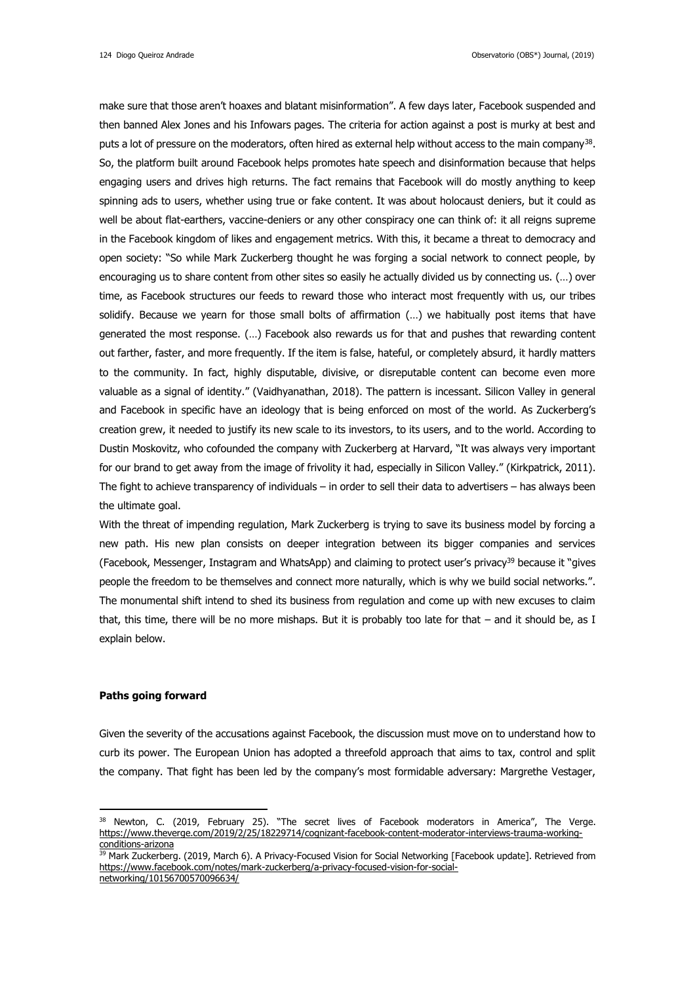make sure that those aren't hoaxes and blatant misinformation". A few days later, Facebook suspended and then banned Alex Jones and his Infowars pages. The criteria for action against a post is murky at best and puts a lot of pressure on the moderators, often hired as external help without access to the main company<sup>38</sup>. So, the platform built around Facebook helps promotes hate speech and disinformation because that helps engaging users and drives high returns. The fact remains that Facebook will do mostly anything to keep spinning ads to users, whether using true or fake content. It was about holocaust deniers, but it could as well be about flat-earthers, vaccine-deniers or any other conspiracy one can think of: it all reigns supreme in the Facebook kingdom of likes and engagement metrics. With this, it became a threat to democracy and open society: "So while Mark Zuckerberg thought he was forging a social network to connect people, by encouraging us to share content from other sites so easily he actually divided us by connecting us. (…) over time, as Facebook structures our feeds to reward those who interact most frequently with us, our tribes solidify. Because we yearn for those small bolts of affirmation (…) we habitually post items that have generated the most response. (…) Facebook also rewards us for that and pushes that rewarding content out farther, faster, and more frequently. If the item is false, hateful, or completely absurd, it hardly matters to the community. In fact, highly disputable, divisive, or disreputable content can become even more valuable as a signal of identity." (Vaidhyanathan, 2018). The pattern is incessant. Silicon Valley in general and Facebook in specific have an ideology that is being enforced on most of the world. As Zuckerberg's creation grew, it needed to justify its new scale to its investors, to its users, and to the world. According to Dustin Moskovitz, who cofounded the company with Zuckerberg at Harvard, "It was always very important for our brand to get away from the image of frivolity it had, especially in Silicon Valley." (Kirkpatrick, 2011). The fight to achieve transparency of individuals – in order to sell their data to advertisers – has always been the ultimate goal.

With the threat of impending regulation, Mark Zuckerberg is trying to save its business model by forcing a new path. His new plan consists on deeper integration between its bigger companies and services (Facebook, Messenger, Instagram and WhatsApp) and claiming to protect user's privacy<sup>39</sup> because it "gives people the freedom to be themselves and connect more naturally, which is why we build social networks.". The monumental shift intend to shed its business from regulation and come up with new excuses to claim that, this time, there will be no more mishaps. But it is probably too late for that – and it should be, as I explain below.

# **Paths going forward**

<u>.</u>

Given the severity of the accusations against Facebook, the discussion must move on to understand how to curb its power. The European Union has adopted a threefold approach that aims to tax, control and split the company. That fight has been led by the company's most formidable adversary: Margrethe Vestager,

<sup>38</sup> Newton, C. (2019, February 25). "The secret lives of Facebook moderators in America", The Verge. [https://www.theverge.com/2019/2/25/18229714/cognizant-facebook-content-moderator-interviews-trauma-working](https://www.theverge.com/2019/2/25/18229714/cognizant-facebook-content-moderator-interviews-trauma-working-conditions-arizona)[conditions-arizona](https://www.theverge.com/2019/2/25/18229714/cognizant-facebook-content-moderator-interviews-trauma-working-conditions-arizona)

<sup>&</sup>lt;sup>39</sup> Mark Zuckerberg. (2019, March 6). A Privacy-Focused Vision for Social Networking [Facebook update]. Retrieved from [https://www.facebook.com/notes/mark-zuckerberg/a-privacy-focused-vision-for-social-](https://www.facebook.com/notes/mark-zuckerberg/a-privacy-focused-vision-for-social-networking/10156700570096634/)

[networking/10156700570096634/](https://www.facebook.com/notes/mark-zuckerberg/a-privacy-focused-vision-for-social-networking/10156700570096634/)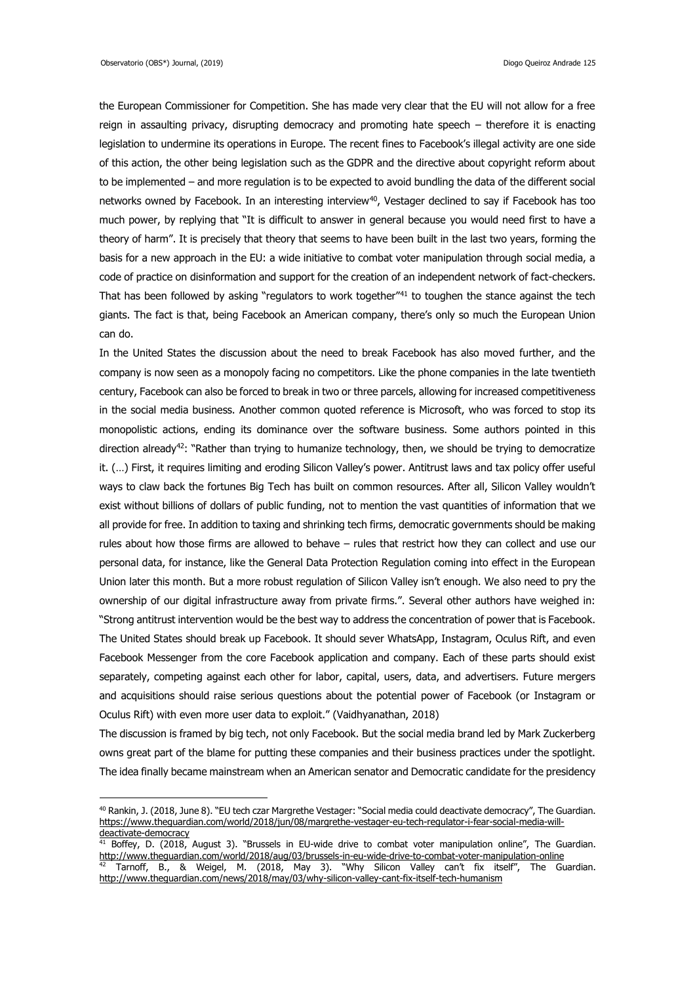1

the European Commissioner for Competition. She has made very clear that the EU will not allow for a free reign in assaulting privacy, disrupting democracy and promoting hate speech – therefore it is enacting legislation to undermine its operations in Europe. The recent fines to Facebook's illegal activity are one side of this action, the other being legislation such as the GDPR and the directive about copyright reform about to be implemented – and more regulation is to be expected to avoid bundling the data of the different social networks owned by Facebook. In an interesting interview<sup>40</sup>, Vestager declined to say if Facebook has too much power, by replying that "It is difficult to answer in general because you would need first to have a theory of harm". It is precisely that theory that seems to have been built in the last two years, forming the basis for a new approach in the EU: a wide initiative to combat voter manipulation through social media, a code of practice on disinformation and support for the creation of an independent network of fact-checkers. That has been followed by asking "regulators to work together"<sup>41</sup> to toughen the stance against the tech giants. The fact is that, being Facebook an American company, there's only so much the European Union can do.

In the United States the discussion about the need to break Facebook has also moved further, and the company is now seen as a monopoly facing no competitors. Like the phone companies in the late twentieth century, Facebook can also be forced to break in two or three parcels, allowing for increased competitiveness in the social media business. Another common quoted reference is Microsoft, who was forced to stop its monopolistic actions, ending its dominance over the software business. Some authors pointed in this direction already<sup>42</sup>: "Rather than trying to humanize technology, then, we should be trying to democratize it. (…) First, it requires limiting and eroding Silicon Valley's power. Antitrust laws and tax policy offer useful ways to claw back the fortunes Big Tech has built on common resources. After all, Silicon Valley wouldn't exist without billions of dollars of public funding, not to mention the vast quantities of information that we all provide for free. In addition to taxing and shrinking tech firms, democratic governments should be making rules about how those firms are allowed to behave – rules that restrict how they can collect and use our personal data, for instance, like the General Data Protection Regulation coming into effect in the European Union later this month. But a more robust regulation of Silicon Valley isn't enough. We also need to pry the ownership of our digital infrastructure away from private firms.". Several other authors have weighed in: "Strong antitrust intervention would be the best way to address the concentration of power that is Facebook. The United States should break up Facebook. It should sever WhatsApp, Instagram, Oculus Rift, and even Facebook Messenger from the core Facebook application and company. Each of these parts should exist separately, competing against each other for labor, capital, users, data, and advertisers. Future mergers and acquisitions should raise serious questions about the potential power of Facebook (or Instagram or Oculus Rift) with even more user data to exploit." (Vaidhyanathan, 2018)

The discussion is framed by big tech, not only Facebook. But the social media brand led by Mark Zuckerberg owns great part of the blame for putting these companies and their business practices under the spotlight. The idea finally became mainstream when an American senator and Democratic candidate for the presidency

<sup>&</sup>lt;sup>40</sup> Rankin, J. (2018, June 8). "EU tech czar Margrethe Vestager: "Social media could deactivate democracy", The Guardian. [https://www.theguardian.com/world/2018/jun/08/margrethe-vestager-eu-tech-regulator-i-fear-social-media-will](https://www.theguardian.com/world/2018/jun/08/margrethe-vestager-eu-tech-regulator-i-fear-social-media-will-deactivate-democracy)[deactivate-democracy](https://www.theguardian.com/world/2018/jun/08/margrethe-vestager-eu-tech-regulator-i-fear-social-media-will-deactivate-democracy)

 $41$  Boffey, D. (2018, August 3). "Brussels in EU-wide drive to combat voter manipulation online", The Guardian. <http://www.theguardian.com/world/2018/aug/03/brussels-in-eu-wide-drive-to-combat-voter-manipulation-online>

 $^{42}$  Tarnoff, B., & Weigel, M. (2018, May 3). "Why Silicon Valley can't fix itself", The Guardian. <http://www.theguardian.com/news/2018/may/03/why-silicon-valley-cant-fix-itself-tech-humanism>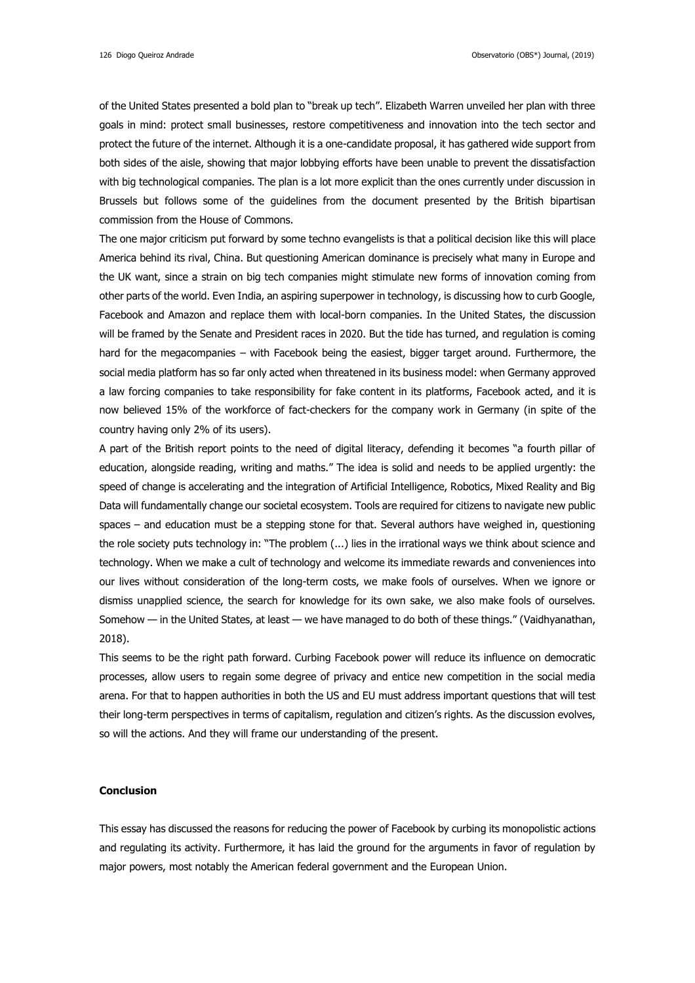of the United States presented a bold plan to "break up tech". Elizabeth Warren unveiled her plan with three goals in mind: protect small businesses, restore competitiveness and innovation into the tech sector and protect the future of the internet. Although it is a one-candidate proposal, it has gathered wide support from both sides of the aisle, showing that major lobbying efforts have been unable to prevent the dissatisfaction with big technological companies. The plan is a lot more explicit than the ones currently under discussion in Brussels but follows some of the guidelines from the document presented by the British bipartisan commission from the House of Commons.

The one major criticism put forward by some techno evangelists is that a political decision like this will place America behind its rival, China. But questioning American dominance is precisely what many in Europe and the UK want, since a strain on big tech companies might stimulate new forms of innovation coming from other parts of the world. Even India, an aspiring superpower in technology, is discussing how to curb Google, Facebook and Amazon and replace them with local-born companies. In the United States, the discussion will be framed by the Senate and President races in 2020. But the tide has turned, and regulation is coming hard for the megacompanies – with Facebook being the easiest, bigger target around. Furthermore, the social media platform has so far only acted when threatened in its business model: when Germany approved a law forcing companies to take responsibility for fake content in its platforms, Facebook acted, and it is now believed 15% of the workforce of fact-checkers for the company work in Germany (in spite of the country having only 2% of its users).

A part of the British report points to the need of digital literacy, defending it becomes "a fourth pillar of education, alongside reading, writing and maths." The idea is solid and needs to be applied urgently: the speed of change is accelerating and the integration of Artificial Intelligence, Robotics, Mixed Reality and Big Data will fundamentally change our societal ecosystem. Tools are required for citizens to navigate new public spaces – and education must be a stepping stone for that. Several authors have weighed in, questioning the role society puts technology in: "The problem (...) lies in the irrational ways we think about science and technology. When we make a cult of technology and welcome its immediate rewards and conveniences into our lives without consideration of the long-term costs, we make fools of ourselves. When we ignore or dismiss unapplied science, the search for knowledge for its own sake, we also make fools of ourselves. Somehow — in the United States, at least — we have managed to do both of these things." (Vaidhyanathan, 2018).

This seems to be the right path forward. Curbing Facebook power will reduce its influence on democratic processes, allow users to regain some degree of privacy and entice new competition in the social media arena. For that to happen authorities in both the US and EU must address important questions that will test their long-term perspectives in terms of capitalism, regulation and citizen's rights. As the discussion evolves, so will the actions. And they will frame our understanding of the present.

### **Conclusion**

This essay has discussed the reasons for reducing the power of Facebook by curbing its monopolistic actions and regulating its activity. Furthermore, it has laid the ground for the arguments in favor of regulation by major powers, most notably the American federal government and the European Union.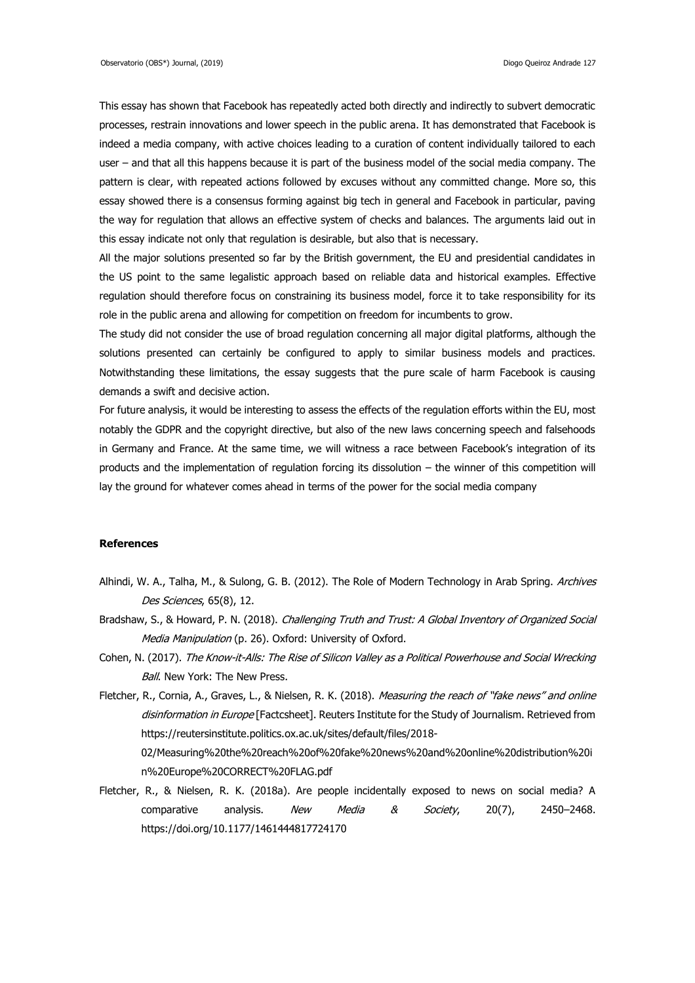This essay has shown that Facebook has repeatedly acted both directly and indirectly to subvert democratic processes, restrain innovations and lower speech in the public arena. It has demonstrated that Facebook is indeed a media company, with active choices leading to a curation of content individually tailored to each user – and that all this happens because it is part of the business model of the social media company. The pattern is clear, with repeated actions followed by excuses without any committed change. More so, this essay showed there is a consensus forming against big tech in general and Facebook in particular, paving the way for regulation that allows an effective system of checks and balances. The arguments laid out in this essay indicate not only that regulation is desirable, but also that is necessary.

All the major solutions presented so far by the British government, the EU and presidential candidates in the US point to the same legalistic approach based on reliable data and historical examples. Effective regulation should therefore focus on constraining its business model, force it to take responsibility for its role in the public arena and allowing for competition on freedom for incumbents to grow.

The study did not consider the use of broad regulation concerning all major digital platforms, although the solutions presented can certainly be configured to apply to similar business models and practices. Notwithstanding these limitations, the essay suggests that the pure scale of harm Facebook is causing demands a swift and decisive action.

For future analysis, it would be interesting to assess the effects of the regulation efforts within the EU, most notably the GDPR and the copyright directive, but also of the new laws concerning speech and falsehoods in Germany and France. At the same time, we will witness a race between Facebook's integration of its products and the implementation of regulation forcing its dissolution – the winner of this competition will lay the ground for whatever comes ahead in terms of the power for the social media company

### **References**

- Alhindi, W. A., Talha, M., & Sulong, G. B. (2012). The Role of Modern Technology in Arab Spring. Archives Des Sciences, 65(8), 12.
- Bradshaw, S., & Howard, P. N. (2018). Challenging Truth and Trust: A Global Inventory of Organized Social Media Manipulation (p. 26). Oxford: University of Oxford.
- Cohen, N. (2017). The Know-it-Alls: The Rise of Silicon Valley as a Political Powerhouse and Social Wrecking Ball. New York: The New Press.
- Fletcher, R., Cornia, A., Graves, L., & Nielsen, R. K. (2018). Measuring the reach of "fake news" and online disinformation in Europe [Factcsheet]. Reuters Institute for the Study of Journalism. Retrieved from https://reutersinstitute.politics.ox.ac.uk/sites/default/files/2018-

02/Measuring%20the%20reach%20of%20fake%20news%20and%20online%20distribution%20i n%20Europe%20CORRECT%20FLAG.pdf

Fletcher, R., & Nielsen, R. K. (2018a). Are people incidentally exposed to news on social media? A comparative analysis. New Media & Society, 20(7), 2450-2468. https://doi.org/10.1177/1461444817724170